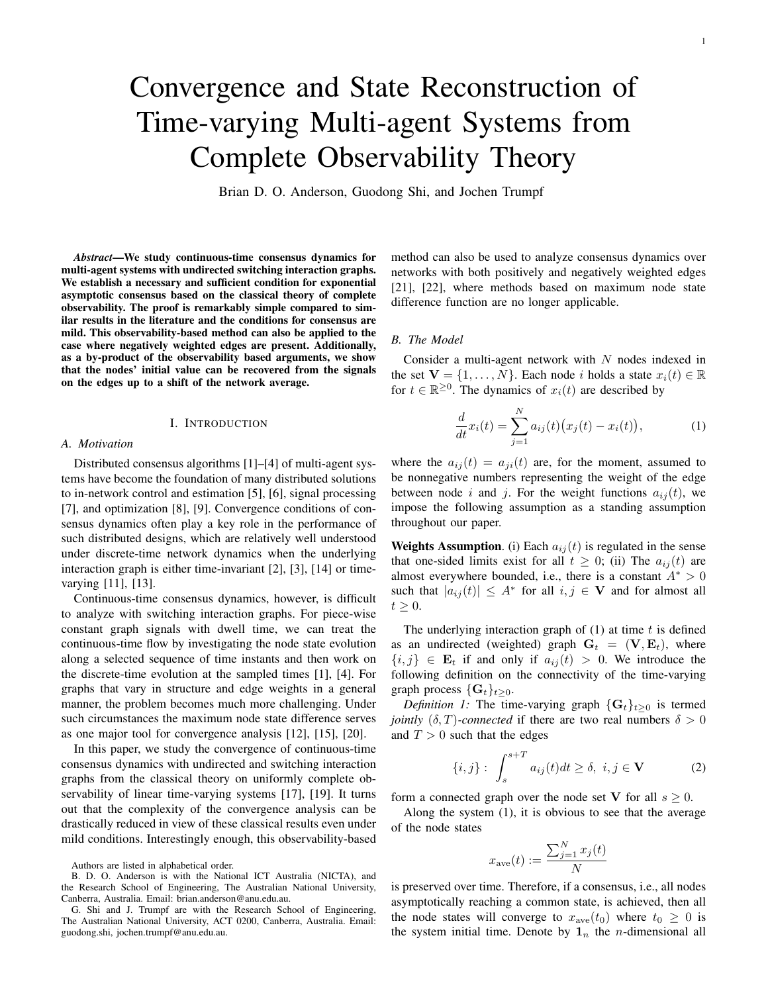# Convergence and State Reconstruction of Time-varying Multi-agent Systems from Complete Observability Theory

Brian D. O. Anderson, Guodong Shi, and Jochen Trumpf

*Abstract*—We study continuous-time consensus dynamics for multi-agent systems with undirected switching interaction graphs. We establish a necessary and sufficient condition for exponential asymptotic consensus based on the classical theory of complete observability. The proof is remarkably simple compared to similar results in the literature and the conditions for consensus are mild. This observability-based method can also be applied to the case where negatively weighted edges are present. Additionally, as a by-product of the observability based arguments, we show that the nodes' initial value can be recovered from the signals on the edges up to a shift of the network average.

#### I. INTRODUCTION

#### *A. Motivation*

Distributed consensus algorithms [1]–[4] of multi-agent systems have become the foundation of many distributed solutions to in-network control and estimation [5], [6], signal processing [7], and optimization [8], [9]. Convergence conditions of consensus dynamics often play a key role in the performance of such distributed designs, which are relatively well understood under discrete-time network dynamics when the underlying interaction graph is either time-invariant [2], [3], [14] or timevarying [11], [13].

Continuous-time consensus dynamics, however, is difficult to analyze with switching interaction graphs. For piece-wise constant graph signals with dwell time, we can treat the continuous-time flow by investigating the node state evolution along a selected sequence of time instants and then work on the discrete-time evolution at the sampled times [1], [4]. For graphs that vary in structure and edge weights in a general manner, the problem becomes much more challenging. Under such circumstances the maximum node state difference serves as one major tool for convergence analysis [12], [15], [20].

In this paper, we study the convergence of continuous-time consensus dynamics with undirected and switching interaction graphs from the classical theory on uniformly complete observability of linear time-varying systems [17], [19]. It turns out that the complexity of the convergence analysis can be drastically reduced in view of these classical results even under mild conditions. Interestingly enough, this observability-based method can also be used to analyze consensus dynamics over networks with both positively and negatively weighted edges [21], [22], where methods based on maximum node state difference function are no longer applicable.

# *B. The Model*

Consider a multi-agent network with  $N$  nodes indexed in the set  $\mathbf{V} = \{1, \ldots, N\}$ . Each node *i* holds a state  $x_i(t) \in \mathbb{R}$ for  $t \in \mathbb{R}^{\geq 0}$ . The dynamics of  $x_i(t)$  are described by

$$
\frac{d}{dt}x_i(t) = \sum_{j=1}^{N} a_{ij}(t) (x_j(t) - x_i(t)),
$$
\n(1)

where the  $a_{ii}(t) = a_{ii}(t)$  are, for the moment, assumed to be nonnegative numbers representing the weight of the edge between node i and j. For the weight functions  $a_{ij}(t)$ , we impose the following assumption as a standing assumption throughout our paper.

**Weights Assumption.** (i) Each  $a_{ij}(t)$  is regulated in the sense that one-sided limits exist for all  $t \geq 0$ ; (ii) The  $a_{ij}(t)$  are almost everywhere bounded, i.e., there is a constant  $A^* > 0$ such that  $|a_{ij}(t)| \leq A^*$  for all  $i, j \in V$  and for almost all  $t \geq 0$ .

The underlying interaction graph of  $(1)$  at time t is defined as an undirected (weighted) graph  $G_t = (V, E_t)$ , where  $\{i, j\} \in \mathbf{E}_t$  if and only if  $a_{ij}(t) > 0$ . We introduce the following definition on the connectivity of the time-varying graph process  $\{\mathbf{G}_t\}_{t\geq 0}$ .

*Definition 1:* The time-varying graph  $\{G_t\}_{t>0}$  is termed *jointly*  $(\delta, T)$ *-connected* if there are two real numbers  $\delta > 0$ and  $T > 0$  such that the edges

$$
\{i,j\}:\int_{s}^{s+T}a_{ij}(t)dt\geq\delta,\ i,j\in\mathbf{V}\tag{2}
$$

form a connected graph over the node set V for all  $s \geq 0$ .

Along the system (1), it is obvious to see that the average of the node states

$$
x_{\text{ave}}(t) := \frac{\sum_{j=1}^{N} x_j(t)}{N}
$$

is preserved over time. Therefore, if a consensus, i.e., all nodes asymptotically reaching a common state, is achieved, then all the node states will converge to  $x_{ave}(t_0)$  where  $t_0 \geq 0$  is the system initial time. Denote by  $\mathbf{1}_n$  the *n*-dimensional all

Authors are listed in alphabetical order.

B. D. O. Anderson is with the National ICT Australia (NICTA), and the Research School of Engineering, The Australian National University, Canberra, Australia. Email: brian.anderson@anu.edu.au.

G. Shi and J. Trumpf are with the Research School of Engineering, The Australian National University, ACT 0200, Canberra, Australia. Email: guodong.shi, jochen.trumpf@anu.edu.au.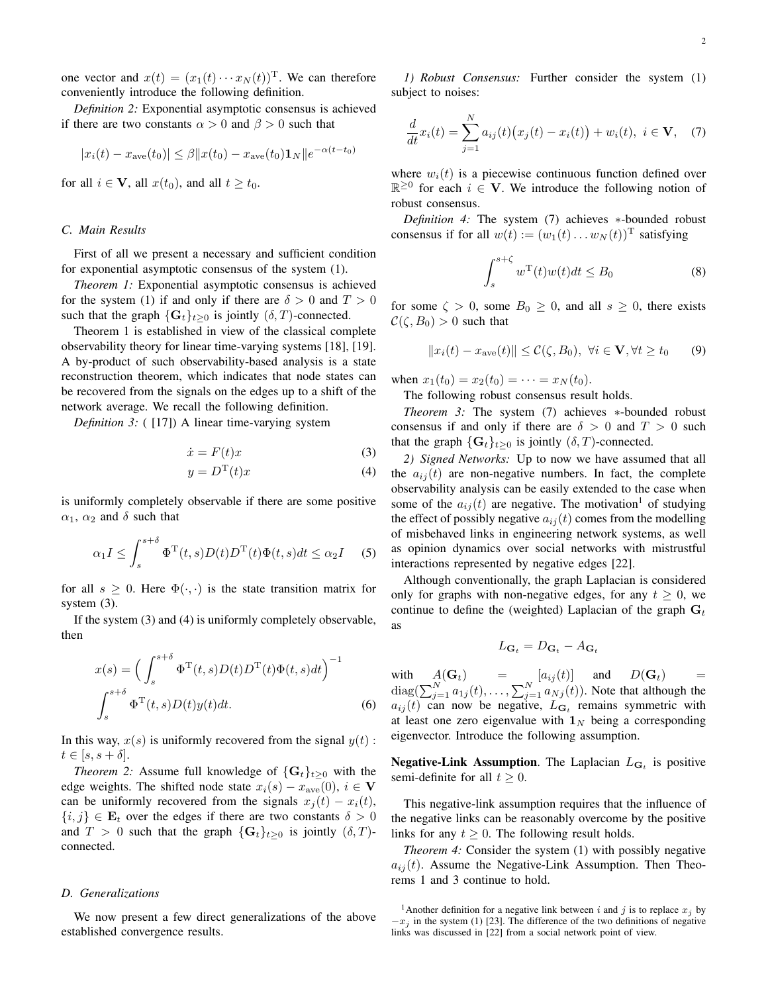one vector and  $x(t) = (x_1(t) \cdots x_N(t))^T$ . We can therefore conveniently introduce the following definition.

*Definition 2:* Exponential asymptotic consensus is achieved if there are two constants  $\alpha > 0$  and  $\beta > 0$  such that

$$
|x_i(t) - x_{\text{ave}}(t_0)| \le \beta ||x(t_0) - x_{\text{ave}}(t_0) \mathbf{1}_N || e^{-\alpha(t - t_0)}
$$

for all  $i \in V$ , all  $x(t_0)$ , and all  $t \geq t_0$ .

#### *C. Main Results*

First of all we present a necessary and sufficient condition for exponential asymptotic consensus of the system (1).

*Theorem 1:* Exponential asymptotic consensus is achieved for the system (1) if and only if there are  $\delta > 0$  and  $T > 0$ such that the graph  $\{G_t\}_{t>0}$  is jointly  $(\delta, T)$ -connected.

Theorem 1 is established in view of the classical complete observability theory for linear time-varying systems [18], [19]. A by-product of such observability-based analysis is a state reconstruction theorem, which indicates that node states can be recovered from the signals on the edges up to a shift of the network average. We recall the following definition.

*Definition 3:* ( [17]) A linear time-varying system

$$
\dot{x} = F(t)x\tag{3}
$$

$$
y = D^{T}(t)x \tag{4}
$$

is uniformly completely observable if there are some positive  $\alpha_1$ ,  $\alpha_2$  and  $\delta$  such that

$$
\alpha_1 I \le \int_s^{s+\delta} \Phi^{\mathrm{T}}(t,s) D(t) D^{\mathrm{T}}(t) \Phi(t,s) dt \le \alpha_2 I \quad (5)
$$

for all  $s \geq 0$ . Here  $\Phi(\cdot, \cdot)$  is the state transition matrix for system (3).

If the system (3) and (4) is uniformly completely observable, then

$$
x(s) = \left(\int_{s}^{s+\delta} \Phi^{\mathrm{T}}(t,s)D(t)D^{\mathrm{T}}(t)\Phi(t,s)dt\right)^{-1}
$$

$$
\int_{s}^{s+\delta} \Phi^{\mathrm{T}}(t,s)D(t)y(t)dt.
$$
 (6)

In this way,  $x(s)$  is uniformly recovered from the signal  $y(t)$ :  $t \in [s, s + \delta].$ 

*Theorem 2:* Assume full knowledge of  $\{G_t\}_{t>0}$  with the edge weights. The shifted node state  $x_i(s) - x_{ave}(0)$ ,  $i \in V$ can be uniformly recovered from the signals  $x_j(t) - x_i(t)$ ,  $\{i, j\} \in \mathbf{E}_t$  over the edges if there are two constants  $\delta > 0$ and  $T > 0$  such that the graph  $\{G_t\}_{t\geq 0}$  is jointly  $(\delta, T)$ connected.

#### *D. Generalizations*

We now present a few direct generalizations of the above established convergence results.

*1) Robust Consensus:* Further consider the system (1) subject to noises:

$$
\frac{d}{dt}x_i(t) = \sum_{j=1}^N a_{ij}(t) (x_j(t) - x_i(t)) + w_i(t), \ i \in \mathbf{V}, \quad (7)
$$

where  $w_i(t)$  is a piecewise continuous function defined over  $\mathbb{R}^{\geq 0}$  for each  $i \in V$ . We introduce the following notion of robust consensus.

*Definition 4:* The system (7) achieves ∗-bounded robust consensus if for all  $w(t) := (w_1(t) \dots w_N(t))^T$  satisfying

$$
\int_{s}^{s+\zeta} w^{\mathrm{T}}(t)w(t)dt \leq B_{0}
$$
 (8)

for some  $\zeta > 0$ , some  $B_0 \ge 0$ , and all  $s \ge 0$ , there exists  $\mathcal{C}(\zeta, B_0) > 0$  such that

$$
||x_i(t) - x_{\text{ave}}(t)|| \le \mathcal{C}(\zeta, B_0), \ \forall i \in \mathbf{V}, \forall t \ge t_0 \qquad (9)
$$

when  $x_1(t_0) = x_2(t_0) = \cdots = x_N(t_0)$ .

The following robust consensus result holds.

*Theorem 3:* The system (7) achieves ∗-bounded robust consensus if and only if there are  $\delta > 0$  and  $T > 0$  such that the graph  $\{G_t\}_{t\geq 0}$  is jointly  $(\delta, T)$ -connected.

*2) Signed Networks:* Up to now we have assumed that all the  $a_{ij}(t)$  are non-negative numbers. In fact, the complete observability analysis can be easily extended to the case when some of the  $a_{ij}(t)$  are negative. The motivation<sup>1</sup> of studying the effect of possibly negative  $a_{ij}(t)$  comes from the modelling of misbehaved links in engineering network systems, as well as opinion dynamics over social networks with mistrustful interactions represented by negative edges [22].

Although conventionally, the graph Laplacian is considered only for graphs with non-negative edges, for any  $t \geq 0$ , we continue to define the (weighted) Laplacian of the graph  $G_t$ as

$$
L_{\mathbf{G}_t} = D_{\mathbf{G}_t} - A_{\mathbf{G}_t}
$$

with  $A(\mathbf{G}_t)$  =  $[a_{ij}(t)]$  and  $D(\mathbf{G}_t)$  =  $diag(\sum_{j=1}^{N} a_{1j}(t), \ldots, \sum_{j=1}^{N} a_{Nj}(t))$ . Note that although the  $a_{ij}(t)$  can now be negative,  $L_{\mathbf{G}_t}$  remains symmetric with at least one zero eigenvalue with  $\mathbf{1}_N$  being a corresponding eigenvector. Introduce the following assumption.

**Negative-Link Assumption**. The Laplacian  $L_{\mathbf{G}_t}$  is positive semi-definite for all  $t \geq 0$ .

This negative-link assumption requires that the influence of the negative links can be reasonably overcome by the positive links for any  $t \geq 0$ . The following result holds.

*Theorem 4:* Consider the system (1) with possibly negative  $a_{ij}(t)$ . Assume the Negative-Link Assumption. Then Theorems 1 and 3 continue to hold.

<sup>&</sup>lt;sup>1</sup>Another definition for a negative link between i and j is to replace  $x_j$  by  $-x_i$  in the system (1) [23]. The difference of the two definitions of negative links was discussed in [22] from a social network point of view.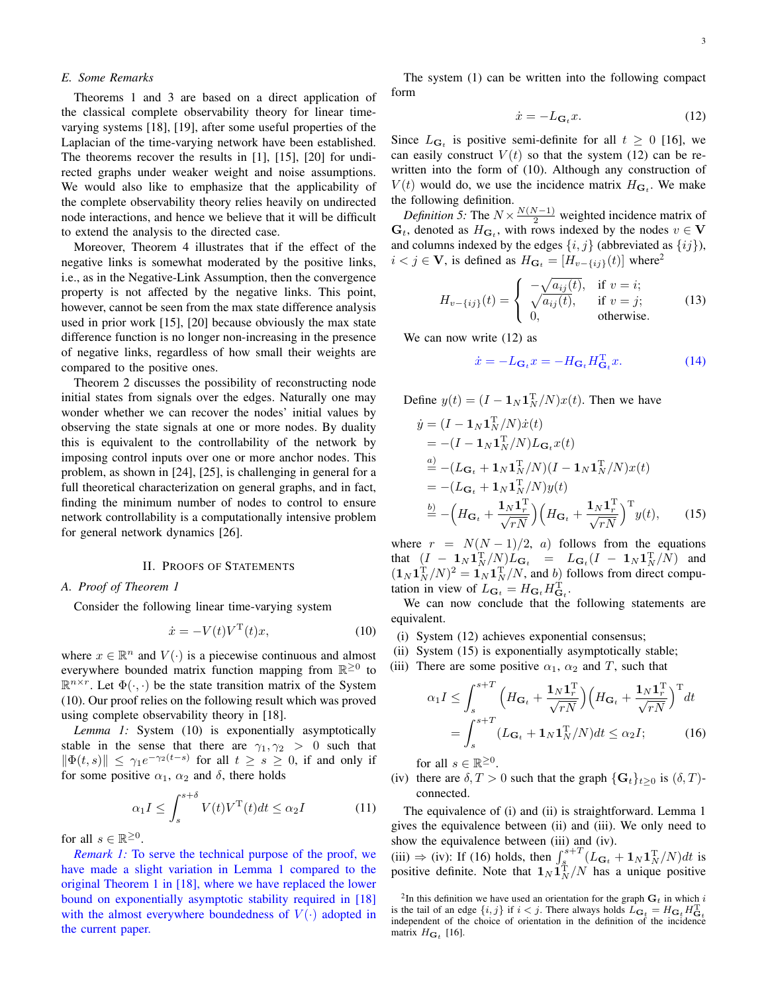Theorems 1 and 3 are based on a direct application of the classical complete observability theory for linear timevarying systems [18], [19], after some useful properties of the Laplacian of the time-varying network have been established. The theorems recover the results in [1], [15], [20] for undirected graphs under weaker weight and noise assumptions. We would also like to emphasize that the applicability of the complete observability theory relies heavily on undirected node interactions, and hence we believe that it will be difficult to extend the analysis to the directed case.

Moreover, Theorem 4 illustrates that if the effect of the negative links is somewhat moderated by the positive links, i.e., as in the Negative-Link Assumption, then the convergence property is not affected by the negative links. This point, however, cannot be seen from the max state difference analysis used in prior work [15], [20] because obviously the max state difference function is no longer non-increasing in the presence of negative links, regardless of how small their weights are compared to the positive ones.

Theorem 2 discusses the possibility of reconstructing node initial states from signals over the edges. Naturally one may wonder whether we can recover the nodes' initial values by observing the state signals at one or more nodes. By duality this is equivalent to the controllability of the network by imposing control inputs over one or more anchor nodes. This problem, as shown in [24], [25], is challenging in general for a full theoretical characterization on general graphs, and in fact, finding the minimum number of nodes to control to ensure network controllability is a computationally intensive problem for general network dynamics [26].

## II. PROOFS OF STATEMENTS

#### *A. Proof of Theorem 1*

Consider the following linear time-varying system

$$
\dot{x} = -V(t)V^{\mathrm{T}}(t)x,\tag{10}
$$

where  $x \in \mathbb{R}^n$  and  $V(\cdot)$  is a piecewise continuous and almost everywhere bounded matrix function mapping from  $\mathbb{R}^{\geq 0}$  to  $\mathbb{R}^{n \times r}$ . Let  $\Phi(\cdot, \cdot)$  be the state transition matrix of the System (10). Our proof relies on the following result which was proved using complete observability theory in [18].

*Lemma 1:* System (10) is exponentially asymptotically stable in the sense that there are  $\gamma_1, \gamma_2 > 0$  such that  $\|\Phi(t,s)\| \leq \gamma_1 e^{-\gamma_2(t-s)}$  for all  $t \geq s \geq 0$ , if and only if for some positive  $\alpha_1$ ,  $\alpha_2$  and  $\delta$ , there holds

$$
\alpha_1 I \le \int_s^{s+\delta} V(t)V^{\mathrm{T}}(t)dt \le \alpha_2 I \tag{11}
$$

for all  $s \in \mathbb{R}^{\geq 0}$ .

*Remark 1:* To serve the technical purpose of the proof, we have made a slight variation in Lemma 1 compared to the original Theorem 1 in [18], where we have replaced the lower bound on exponentially asymptotic stability required in [18] with the almost everywhere boundedness of  $V(\cdot)$  adopted in the current paper.

The system (1) can be written into the following compact form

$$
\dot{x} = -L_{\mathbf{G}_t} x. \tag{12}
$$

Since  $L_{\mathbf{G}_t}$  is positive semi-definite for all  $t \geq 0$  [16], we can easily construct  $V(t)$  so that the system (12) can be rewritten into the form of (10). Although any construction of  $V(t)$  would do, we use the incidence matrix  $H_{\mathbf{G}_t}$ . We make the following definition.

*Definition 5:* The  $N \times \frac{N(N-1)}{2}$  weighted incidence matrix of  $\mathbf{G}_t$ , denoted as  $H_{\mathbf{G}_t}$ , with rows indexed by the nodes  $v \in \mathbf{V}$ and columns indexed by the edges  $\{i, j\}$  (abbreviated as  $\{ij\}$ ),  $i < j \in V$ , is defined as  $H_{\mathbf{G}_t} = [H_{v-\lbrace ij \rbrace}(t)]$  where<sup>2</sup>

$$
H_{v-\{ij\}}(t) = \begin{cases} -\sqrt{a_{ij}(t)}, & \text{if } v = i; \\ \sqrt{a_{ij}(t)}, & \text{if } v = j; \\ 0, & \text{otherwise.} \end{cases}
$$
 (13)

We can now write  $(12)$  as

$$
\dot{x} = -L_{\mathbf{G}_t} x = -H_{\mathbf{G}_t} H_{\mathbf{G}_t}^{\mathrm{T}} x.
$$
 (14)

Define  $y(t) = (I - \mathbf{1}_N \mathbf{1}_N^T/N)x(t)$ . Then we have

$$
\dot{y} = (I - \mathbf{1}_N \mathbf{1}_N^{\mathrm{T}} / N) \dot{x}(t)
$$
  
\n
$$
= -(I - \mathbf{1}_N \mathbf{1}_N^{\mathrm{T}} / N) L_{\mathbf{G}_t} x(t)
$$
  
\n
$$
\stackrel{a)}{=} -(L_{\mathbf{G}_t} + \mathbf{1}_N \mathbf{1}_N^{\mathrm{T}} / N) (I - \mathbf{1}_N \mathbf{1}_N^{\mathrm{T}} / N) x(t)
$$
  
\n
$$
= -(L_{\mathbf{G}_t} + \mathbf{1}_N \mathbf{1}_N^{\mathrm{T}} / N) y(t)
$$
  
\n
$$
\stackrel{b)}{=} - \left( H_{\mathbf{G}_t} + \frac{\mathbf{1}_N \mathbf{1}_N^{\mathrm{T}}}{\sqrt{r_N}} \right) \left( H_{\mathbf{G}_t} + \frac{\mathbf{1}_N \mathbf{1}_N^{\mathrm{T}}}{\sqrt{r_N}} \right)^{\mathrm{T}} y(t), \qquad (15)
$$

where  $r = N(N-1)/2$ , a) follows from the equations that  $(I - 1_N \mathbf{1}_N^{\text{T}}/N) L_{\mathbf{G}_t} = L_{\mathbf{G}_t} (I - 1_N \mathbf{1}_N^{\text{T}}/N)$  and  $(\mathbf{1}_N \mathbf{1}_N^T/N)^2 = \mathbf{1}_N \mathbf{1}_N^T/N$ , and  $b)$  follows from direct computation in view of  $L_{\mathbf{G}_t} = H_{\mathbf{G}_t} H_{\mathbf{G}_t}^{\mathrm{T}}$ .

We can now conclude that the following statements are equivalent.

- (i) System (12) achieves exponential consensus;
- (ii) System (15) is exponentially asymptotically stable;
- (iii) There are some positive  $\alpha_1$ ,  $\alpha_2$  and T, such that

$$
\alpha_1 I \le \int_s^{s+T} \left( H_{\mathbf{G}_t} + \frac{\mathbf{1}_N \mathbf{1}_r^{\mathrm{T}}}{\sqrt{rN}} \right) \left( H_{\mathbf{G}_t} + \frac{\mathbf{1}_N \mathbf{1}_r^{\mathrm{T}}}{\sqrt{rN}} \right)^{\mathrm{T}} dt
$$

$$
= \int_s^{s+T} (L_{\mathbf{G}_t} + \mathbf{1}_N \mathbf{1}_N^{\mathrm{T}} / N) dt \le \alpha_2 I; \qquad (16)
$$

for all  $s \in \mathbb{R}^{\geq 0}$ .

(iv) there are  $\delta, T > 0$  such that the graph  $\{G_t\}_{t \geq 0}$  is  $(\delta, T)$ connected.

The equivalence of (i) and (ii) is straightforward. Lemma 1 gives the equivalence between (ii) and (iii). We only need to show the equivalence between (iii) and (iv).

(iii)  $\Rightarrow$  (iv): If (16) holds, then  $\int_{\hat{\mathcal{S}}}^{s+T} (L_{\mathbf{G}_t} + \mathbf{1}_N \mathbf{1}_N^T/N) dt$  is positive definite. Note that  $1_N \hat{1}_N^T/N$  has a unique positive

<sup>&</sup>lt;sup>2</sup>In this definition we have used an orientation for the graph  $G_t$  in which i is the tail of an edge  $\{i, j\}$  if  $i < j$ . There always holds  $\hat{L}_{\mathbf{G}_t} = H_{\mathbf{G}_t} H_{\mathbf{G}_t}^{\mathrm{T}}$  independent of the choice of orientation in the definition of the incidence matrix  $H_{\mathbf{G}_t}$  [16].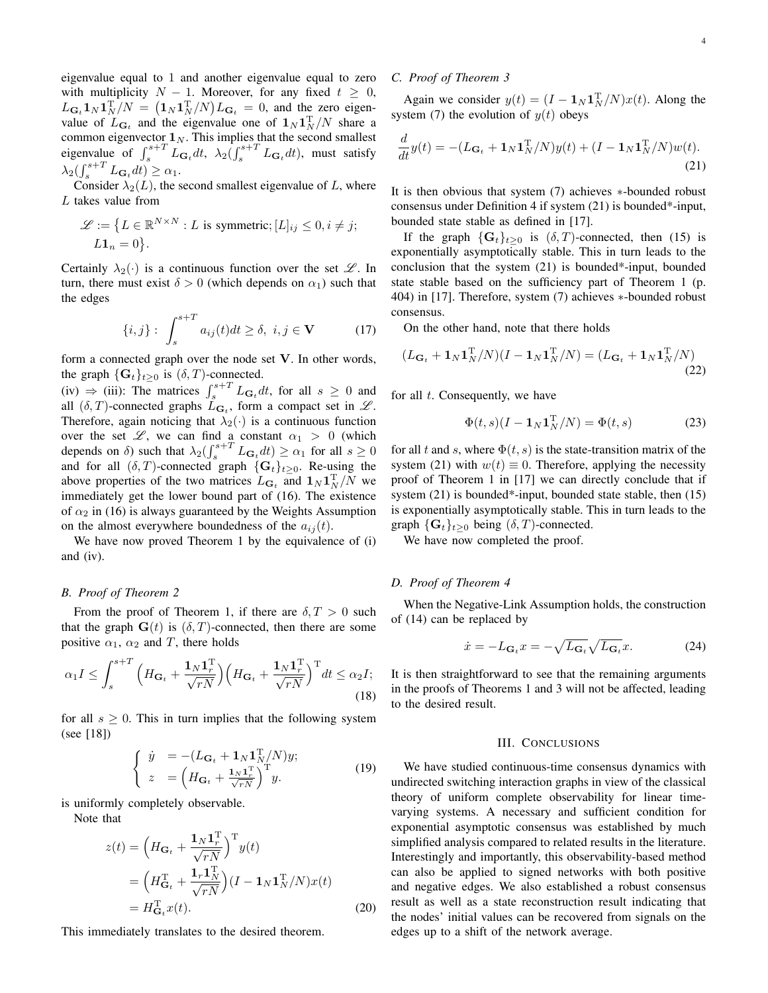eigenvalue equal to 1 and another eigenvalue equal to zero with multiplicity  $N - 1$ . Moreover, for any fixed  $t \geq 0$ ,  $L_{\mathbf{G}_t} \mathbf{1}_N \mathbf{1}_N^{\mathrm{T}}/N = (\mathbf{1}_N \mathbf{1}_N^{\mathrm{T}}/N) L_{\mathbf{G}_t} = 0$ , and the zero eigenvalue of  $L_{\mathbf{G}_t}$  and the eigenvalue one of  $\mathbf{1}_N \mathbf{1}_N^T/N$  share a common eigenvector  $\mathbf{1}_N$ . This implies that the second smallest eigenvalue of  $\int_s^{s+T} L_{\mathbf{G}_t} dt$ ,  $\lambda_2(\int_s^{s+T} L_{\mathbf{G}_t} dt)$ , must satisfy  $\lambda_2 \left( \int_s^{s+T} L_{\mathbf{G}_t} dt \right) \geq \alpha_1.$ 

Consider  $\lambda_2(L)$ , the second smallest eigenvalue of L, where L takes value from

$$
\mathcal{L} := \{ L \in \mathbb{R}^{N \times N} : L \text{ is symmetric}; [L]_{ij} \le 0, i \ne j; L1_n = 0 \}.
$$

Certainly  $\lambda_2(\cdot)$  is a continuous function over the set  $\mathscr{L}$ . In turn, there must exist  $\delta > 0$  (which depends on  $\alpha_1$ ) such that the edges

$$
\{i,j\}:\int_{s}^{s+T} a_{ij}(t)dt \geq \delta,\ i,j \in \mathbf{V} \tag{17}
$$

form a connected graph over the node set V. In other words, the graph  $\{G_t\}_{t>0}$  is  $(\delta, T)$ -connected.

(iv)  $\Rightarrow$  (iii): The matrices  $\int_s^{s+T} L_{\mathbf{G}_t} dt$ , for all  $s \ge 0$  and all  $(\delta, T)$ -connected graphs  $L_{\mathbf{G}_t}$ , form a compact set in  $\mathscr{L}$ . Therefore, again noticing that  $\lambda_2(\cdot)$  is a continuous function over the set  $\mathscr{L}$ , we can find a constant  $\alpha_1 > 0$  (which depends on  $\delta$ ) such that  $\lambda_2 \left( \int_s^{s+T} L_{\mathbf{G}_t} dt \right) \ge \alpha_1$  for all  $s \ge 0$ and for all  $(\delta, T)$ -connected graph  $\{G_t\}_{t\geq 0}$ . Re-using the above properties of the two matrices  $L_{\mathbf{G}_t}$  and  $\mathbf{1}_N \mathbf{1}_N^{\mathrm{T}}/N$  we immediately get the lower bound part of (16). The existence of  $\alpha_2$  in (16) is always guaranteed by the Weights Assumption on the almost everywhere boundedness of the  $a_{ij}(t)$ .

We have now proved Theorem 1 by the equivalence of (i) and (iv).

#### *B. Proof of Theorem 2*

From the proof of Theorem 1, if there are  $\delta$ ,  $T > 0$  such that the graph  $G(t)$  is  $(\delta, T)$ -connected, then there are some positive  $\alpha_1$ ,  $\alpha_2$  and T, there holds

$$
\alpha_1 I \le \int_s^{s+T} \left( H_{\mathbf{G}_t} + \frac{\mathbf{1}_N \mathbf{1}_r^{\mathrm{T}}}{\sqrt{rN}} \right) \left( H_{\mathbf{G}_t} + \frac{\mathbf{1}_N \mathbf{1}_r^{\mathrm{T}}}{\sqrt{rN}} \right)^{\mathrm{T}} dt \le \alpha_2 I;
$$
\n(18)

for all  $s \geq 0$ . This in turn implies that the following system (see [18])

$$
\begin{cases}\n\dot{y} = -(L_{\mathbf{G}_t} + \mathbf{1}_N \mathbf{1}_N^T / N) y; \\
z = \left( H_{\mathbf{G}_t} + \frac{\mathbf{1}_N \mathbf{1}_r^T}{\sqrt{r} N} \right)^T y.\n\end{cases}
$$
\n(19)

is uniformly completely observable.

Note that

$$
z(t) = \left(H_{\mathbf{G}_t} + \frac{\mathbf{1}_N \mathbf{1}_r^{\mathrm{T}}}{\sqrt{rN}}\right)^{\mathrm{T}} y(t)
$$
  
= 
$$
\left(H_{\mathbf{G}_t}^{\mathrm{T}} + \frac{\mathbf{1}_r \mathbf{1}_N^{\mathrm{T}}}{\sqrt{rN}}\right) (I - \mathbf{1}_N \mathbf{1}_N^{\mathrm{T}} / N) x(t)
$$
  
=  $H_{\mathbf{G}_t}^{\mathrm{T}} x(t).$  (20)

This immediately translates to the desired theorem.

# *C. Proof of Theorem 3*

Again we consider  $y(t) = (I - \mathbf{1}_N \mathbf{1}_N^T/N)x(t)$ . Along the system (7) the evolution of  $y(t)$  obeys

$$
\frac{d}{dt}y(t) = -(L_{\mathbf{G}_t} + \mathbf{1}_N \mathbf{1}_N^{\mathrm{T}}/N)y(t) + (I - \mathbf{1}_N \mathbf{1}_N^{\mathrm{T}}/N)w(t).
$$
\n(21)

It is then obvious that system (7) achieves ∗-bounded robust consensus under Definition 4 if system (21) is bounded\*-input, bounded state stable as defined in [17].

If the graph  $\{G_t\}_{t>0}$  is  $(\delta, T)$ -connected, then (15) is exponentially asymptotically stable. This in turn leads to the conclusion that the system (21) is bounded\*-input, bounded state stable based on the sufficiency part of Theorem 1 (p. 404) in [17]. Therefore, system (7) achieves ∗-bounded robust consensus.

On the other hand, note that there holds

$$
(L_{\mathbf{G}_t} + \mathbf{1}_N \mathbf{1}_N^{\mathrm{T}}/N)(I - \mathbf{1}_N \mathbf{1}_N^{\mathrm{T}}/N) = (L_{\mathbf{G}_t} + \mathbf{1}_N \mathbf{1}_N^{\mathrm{T}}/N)
$$
\n(22)

for all  $t$ . Consequently, we have

$$
\Phi(t,s)(I - \mathbf{1}_N \mathbf{1}_N^{\mathrm{T}}/N) = \Phi(t,s)
$$
\n(23)

for all t and s, where  $\Phi(t, s)$  is the state-transition matrix of the system (21) with  $w(t) \equiv 0$ . Therefore, applying the necessity proof of Theorem 1 in [17] we can directly conclude that if system (21) is bounded\*-input, bounded state stable, then (15) is exponentially asymptotically stable. This in turn leads to the graph  $\{G_t\}_{t>0}$  being  $(\delta, T)$ -connected.

We have now completed the proof.

## *D. Proof of Theorem 4*

When the Negative-Link Assumption holds, the construction of (14) can be replaced by

$$
\dot{x} = -L_{\mathbf{G}_t} x = -\sqrt{L_{\mathbf{G}_t}} \sqrt{L_{\mathbf{G}_t}} x.
$$
 (24)

It is then straightforward to see that the remaining arguments in the proofs of Theorems 1 and 3 will not be affected, leading to the desired result.

#### III. CONCLUSIONS

We have studied continuous-time consensus dynamics with undirected switching interaction graphs in view of the classical theory of uniform complete observability for linear timevarying systems. A necessary and sufficient condition for exponential asymptotic consensus was established by much simplified analysis compared to related results in the literature. Interestingly and importantly, this observability-based method can also be applied to signed networks with both positive and negative edges. We also established a robust consensus result as well as a state reconstruction result indicating that the nodes' initial values can be recovered from signals on the edges up to a shift of the network average.